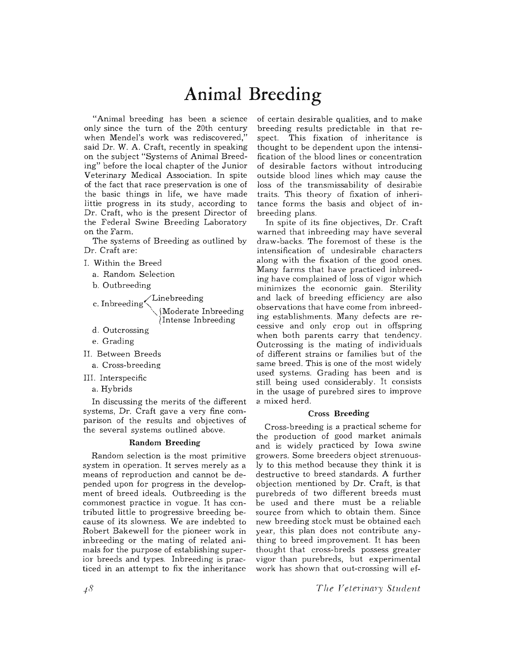# **Animal Breeding**

"Animal breeding has been a science only since the turn of the 20th century when Mendel's work was rediscovered," said Dr. W. A. Craft, recently in speaking on the subject "Systems of Animal Breeding" before the local chapter of the Junior Veterinary Medical Association. In spite of the fact that race preservation is one of the basic things in life, we have made little progress in its study, according to Dr. Craft, who is the present Director of the Federal Swine Breeding Laboratory on the Farm.

The systems of Breeding as outlined by Dr. Craft are:

- I. Within the Breed
	- a. Random Selection
	- b. Outbreeding

c. Inbreeding  $\left\langle \begin{smallmatrix} \text{Line breeding} \ \text{Linebreaking} \end{smallmatrix} \right\rangle$ 

 $\setminus$  Moderate Inbreeding  $\hat{a}$ Intense Inbreeding

- d. Outcrossing
- e. Grading
- II. Between Breeds
	- a. Cross-breeding
- III. Interspecific
	- a. Hybrids

In discussing the merits of the different systems, Dr. Craft gave a very fine comparison of the results and objectives of the several systems outlined above.

#### Random Breeding

Random selection is the most primitive system in operation. It serves merely as a means of reproduction and cannot be depended upon for progress in the development of breed ideals. Outbreeding is the commonest practice in vogue. It has contributed little to progressive breeding because of its slowness. We are indebted to Robert Bakewell for the pioneer work in inbreeding or the mating of related animals for the purpose of establishing superior breeds and types. Inbreeding is practiced in an attempt to fix the inheritance

of certain desirable qualities, and to make breeding results predictable in that respect. This fixation of inheritance is thought to be dependent upon the intensification of the blood lines or concentration of desirable factors without introducing outside blood lines which may cause the loss of the transmissability of desirable traits. This theory of fixation of inheritance forms the basis and object of inbreeding plans.

In spite of its fine objectives, Dr. Craft warned that inbreeding may have several draw-backs. The foremost of these is the intensification of undesirable characters along with the fixation of the good ones. Many farms that have practiced inbreeding have complained of loss of vigor which minimizes the economic gain. Sterility and lack of breeding efficiency are also observations that have come from inbreeding establishments. Many defects are recessive and only crop out in offspring when both parents carry that tendency. Outcrossing is the mating of individuals of different strains or families but of the same breed. This is one of the most widely used systems. Grading has been and is still being used considerably. It consists in the usage of purebred sires to improve 2. mixed herd.

#### Cross Breeding

Cross-breeding is a practical scheme for the production of good market animals and. is widely practiced by Iowa swine growers. Some breeders object strenuously to this method because they think it is destructive to breed standards. A further objection mentioned by Dr. Craft, is that purebreds of two different breeds must be used and there must be a reliable source from which to obtain them. Since new breeding stock must be obtained each year. this plan does not contribute anything to breed improvement. It has been thought that cross-breds possess greater vigor than purebreds, but experimental work has shown that out-crossing will ef-

*The Veterinary Student*